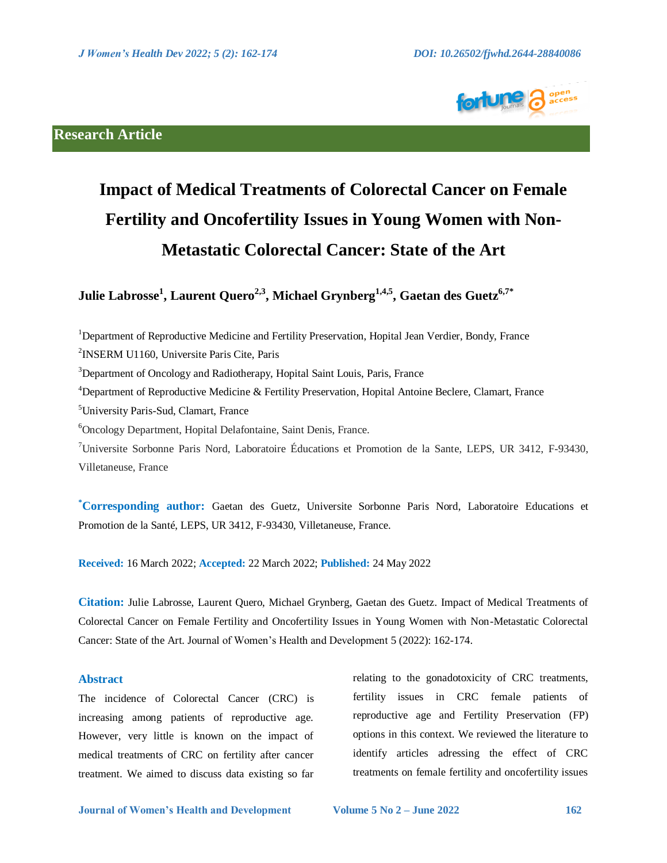

## **Research Article**

# **Impact of Medical Treatments of Colorectal Cancer on Female Fertility and Oncofertility Issues in Young Women with Non-Metastatic Colorectal Cancer: State of the Art**

**Julie Labrosse<sup>1</sup> , Laurent Quero2,3, Michael Grynberg1,4,5, Gaetan des Guetz6,7\***

<sup>1</sup>Department of Reproductive Medicine and Fertility Preservation, Hopital Jean Verdier, Bondy, France

2 INSERM U1160, Universite Paris Cite, Paris

 $3$ Department of Oncology and Radiotherapy, Hopital Saint Louis, Paris, France

<sup>4</sup>Department of Reproductive Medicine & Fertility Preservation, Hopital Antoine Beclere, Clamart, France

<sup>5</sup>University Paris-Sud, Clamart, France

<sup>6</sup>Oncology Department, Hopital Delafontaine, Saint Denis, France.

<sup>7</sup>Universite Sorbonne Paris Nord, Laboratoire Éducations et Promotion de la Sante, LEPS, UR 3412, F-93430, Villetaneuse, France

**\*Corresponding author:** Gaetan des Guetz, Universite Sorbonne Paris Nord, Laboratoire Educations et Promotion de la Santé, LEPS, UR 3412, F-93430, Villetaneuse, France.

**Received:** 16 March 2022; **Accepted:** 22 March 2022; **Published:** 24 May 2022

**Citation:** Julie Labrosse, Laurent Quero, Michael Grynberg, Gaetan des Guetz. Impact of Medical Treatments of Colorectal Cancer on Female Fertility and Oncofertility Issues in Young Women with Non-Metastatic Colorectal Cancer: State of the Art. Journal of Women's Health and Development 5 (2022): 162-174.

#### **Abstract**

The incidence of Colorectal Cancer (CRC) is increasing among patients of reproductive age. However, very little is known on the impact of medical treatments of CRC on fertility after cancer treatment. We aimed to discuss data existing so far relating to the gonadotoxicity of CRC treatments, fertility issues in CRC female patients of reproductive age and Fertility Preservation (FP) options in this context. We reviewed the literature to identify articles adressing the effect of CRC treatments on female fertility and oncofertility issues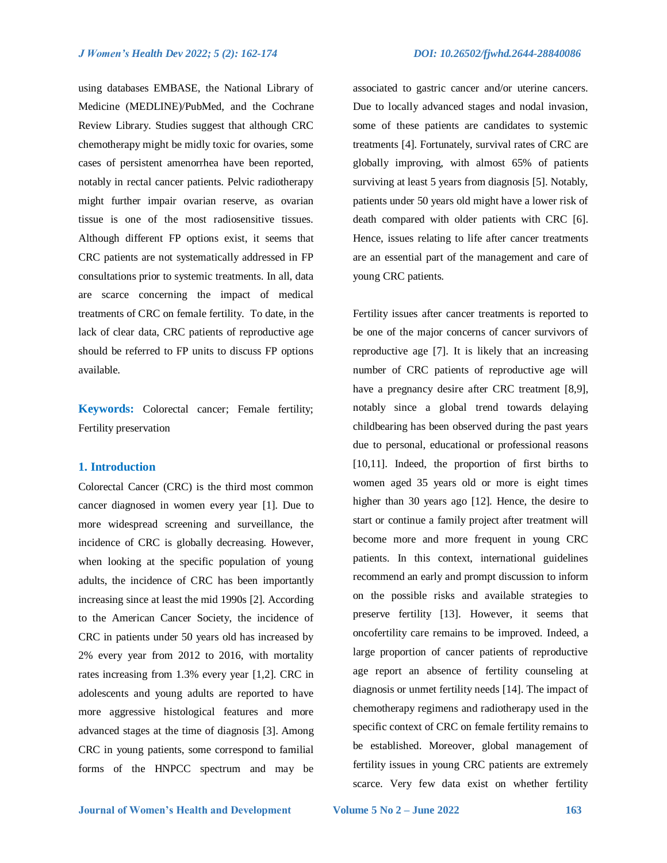using databases EMBASE, the National Library of Medicine (MEDLINE)/PubMed, and the Cochrane Review Library. Studies suggest that although CRC chemotherapy might be midly toxic for ovaries, some cases of persistent amenorrhea have been reported, notably in rectal cancer patients. Pelvic radiotherapy might further impair ovarian reserve, as ovarian tissue is one of the most radiosensitive tissues. Although different FP options exist, it seems that CRC patients are not systematically addressed in FP consultations prior to systemic treatments. In all, data are scarce concerning the impact of medical treatments of CRC on female fertility. To date, in the lack of clear data, CRC patients of reproductive age should be referred to FP units to discuss FP options available.

**Keywords:** Colorectal cancer; Female fertility; Fertility preservation

#### **1. Introduction**

Colorectal Cancer (CRC) is the third most common cancer diagnosed in women every year [1]. Due to more widespread screening and surveillance, the incidence of CRC is globally decreasing. However, when looking at the specific population of young adults, the incidence of CRC has been importantly increasing since at least the mid 1990s [2]. According to the American Cancer Society, the incidence of CRC in patients under 50 years old has increased by 2% every year from 2012 to 2016, with mortality rates increasing from 1.3% every year [1,2]. CRC in adolescents and young adults are reported to have more aggressive histological features and more advanced stages at the time of diagnosis [3]. Among CRC in young patients, some correspond to familial forms of the HNPCC spectrum and may be associated to gastric cancer and/or uterine cancers. Due to locally advanced stages and nodal invasion, some of these patients are candidates to systemic treatments [4]. Fortunately, survival rates of CRC are globally improving, with almost 65% of patients surviving at least 5 years from diagnosis [5]. Notably, patients under 50 years old might have a lower risk of death compared with older patients with CRC [6]. Hence, issues relating to life after cancer treatments are an essential part of the management and care of young CRC patients.

Fertility issues after cancer treatments is reported to be one of the major concerns of cancer survivors of reproductive age [7]. It is likely that an increasing number of CRC patients of reproductive age will have a pregnancy desire after CRC treatment [8,9], notably since a global trend towards delaying childbearing has been observed during the past years due to personal, educational or professional reasons [10,11]. Indeed, the proportion of first births to women aged 35 years old or more is eight times higher than 30 years ago [12]. Hence, the desire to start or continue a family project after treatment will become more and more frequent in young CRC patients. In this context, international guidelines recommend an early and prompt discussion to inform on the possible risks and available strategies to preserve fertility [13]. However, it seems that oncofertility care remains to be improved. Indeed, a large proportion of cancer patients of reproductive age report an absence of fertility counseling at diagnosis or unmet fertility needs [14]. The impact of chemotherapy regimens and radiotherapy used in the specific context of CRC on female fertility remains to be established. Moreover, global management of fertility issues in young CRC patients are extremely scarce. Very few data exist on whether fertility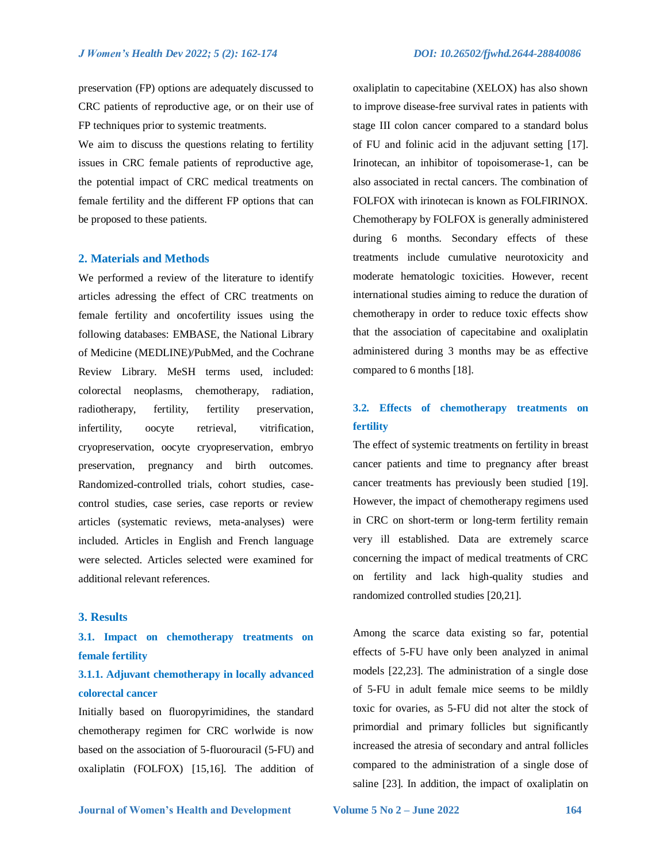preservation (FP) options are adequately discussed to CRC patients of reproductive age, or on their use of FP techniques prior to systemic treatments.

We aim to discuss the questions relating to fertility issues in CRC female patients of reproductive age, the potential impact of CRC medical treatments on female fertility and the different FP options that can be proposed to these patients.

### **2. Materials and Methods**

We performed a review of the literature to identify articles adressing the effect of CRC treatments on female fertility and oncofertility issues using the following databases: EMBASE, the National Library of Medicine (MEDLINE)/PubMed, and the Cochrane Review Library. MeSH terms used, included: colorectal neoplasms, chemotherapy, radiation, radiotherapy, fertility, fertility preservation, infertility, oocyte retrieval, vitrification, cryopreservation, oocyte cryopreservation, embryo preservation, pregnancy and birth outcomes. Randomized-controlled trials, cohort studies, casecontrol studies, case series, case reports or review articles (systematic reviews, meta-analyses) were included. Articles in English and French language were selected. Articles selected were examined for additional relevant references.

## **3. Results**

# **3.1. Impact on chemotherapy treatments on female fertility**

# **3.1.1. Adjuvant chemotherapy in locally advanced colorectal cancer**

Initially based on fluoropyrimidines, the standard chemotherapy regimen for CRC worlwide is now based on the association of 5-fluorouracil (5-FU) and oxaliplatin (FOLFOX) [15,16]. The addition of oxaliplatin to capecitabine (XELOX) has also shown to improve disease-free survival rates in patients with stage III colon cancer compared to a standard bolus of FU and folinic acid in the adjuvant setting [17]. Irinotecan, an inhibitor of topoisomerase-1, can be also associated in rectal cancers. The combination of FOLFOX with irinotecan is known as FOLFIRINOX. Chemotherapy by FOLFOX is generally administered during 6 months. Secondary effects of these treatments include cumulative neurotoxicity and moderate hematologic toxicities. However, recent international studies aiming to reduce the duration of chemotherapy in order to reduce toxic effects show that the association of capecitabine and oxaliplatin administered during 3 months may be as effective compared to 6 months [18].

# **3.2. Effects of chemotherapy treatments on fertility**

The effect of systemic treatments on fertility in breast cancer patients and time to pregnancy after breast cancer treatments has previously been studied [19]. However, the impact of chemotherapy regimens used in CRC on short-term or long-term fertility remain very ill established. Data are extremely scarce concerning the impact of medical treatments of CRC on fertility and lack high-quality studies and randomized controlled studies [20,21].

Among the scarce data existing so far, potential effects of 5-FU have only been analyzed in animal models [22,23]. The administration of a single dose of 5-FU in adult female mice seems to be mildly toxic for ovaries, as 5-FU did not alter the stock of primordial and primary follicles but significantly increased the atresia of secondary and antral follicles compared to the administration of a single dose of saline [23]. In addition, the impact of oxaliplatin on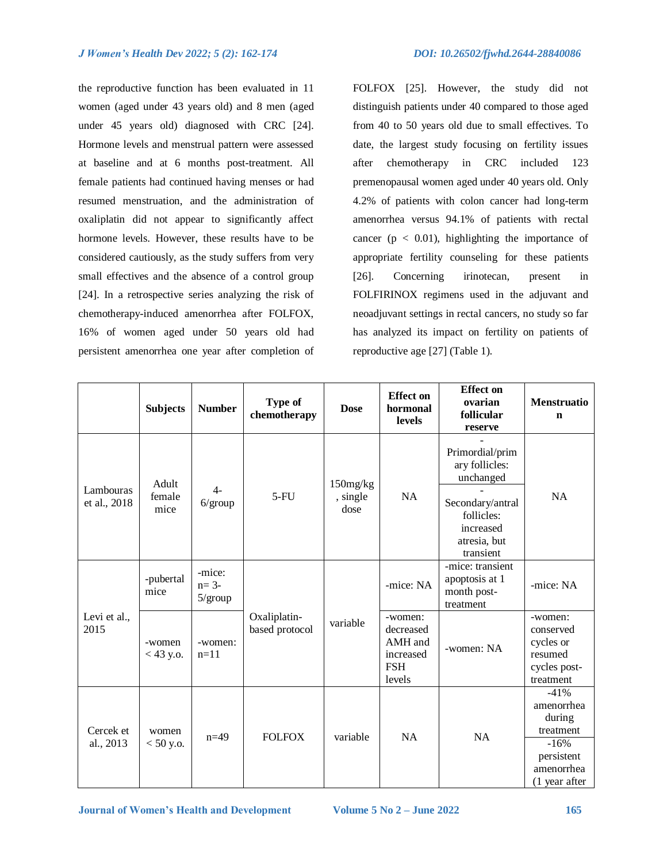the reproductive function has been evaluated in 11 women (aged under 43 years old) and 8 men (aged under 45 years old) diagnosed with CRC [24]. Hormone levels and menstrual pattern were assessed at baseline and at 6 months post-treatment. All female patients had continued having menses or had resumed menstruation, and the administration of oxaliplatin did not appear to significantly affect hormone levels. However, these results have to be considered cautiously, as the study suffers from very small effectives and the absence of a control group [24]. In a retrospective series analyzing the risk of chemotherapy-induced amenorrhea after FOLFOX, 16% of women aged under 50 years old had persistent amenorrhea one year after completion of

FOLFOX [25]. However, the study did not distinguish patients under 40 compared to those aged from 40 to 50 years old due to small effectives. To date, the largest study focusing on fertility issues after chemotherapy in CRC included 123 premenopausal women aged under 40 years old. Only 4.2% of patients with colon cancer had long-term amenorrhea versus 94.1% of patients with rectal cancer ( $p < 0.01$ ), highlighting the importance of appropriate fertility counseling for these patients [26]. Concerning irinotecan, present in FOLFIRINOX regimens used in the adjuvant and neoadjuvant settings in rectal cancers, no study so far has analyzed its impact on fertility on patients of reproductive age [27] (Table 1).

|  |                           | <b>Subjects</b>         | <b>Number</b>                        | Type of<br>chemotherapy        | <b>Dose</b>                  | <b>Effect on</b><br>hormonal<br><b>levels</b>                        | <b>Effect</b> on<br>ovarian<br>follicular<br>reserve                     | Menstruatio<br>$\mathbf n$                                                        |
|--|---------------------------|-------------------------|--------------------------------------|--------------------------------|------------------------------|----------------------------------------------------------------------|--------------------------------------------------------------------------|-----------------------------------------------------------------------------------|
|  | Lambouras<br>et al., 2018 | Adult<br>female<br>mice | $4-$<br>$6/$ group                   | $5-FU$                         | 150mg/kg<br>, single<br>dose | <b>NA</b>                                                            | Primordial/prim<br>ary follicles:<br>unchanged                           | <b>NA</b>                                                                         |
|  |                           |                         |                                      |                                |                              |                                                                      | Secondary/antral<br>follicles:<br>increased<br>atresia, but<br>transient |                                                                                   |
|  | Levi et al.,<br>2015      | -pubertal<br>mice       | -mice:<br>$n=3-$<br>$5/\text{group}$ | Oxaliplatin-<br>based protocol | variable                     | -mice: NA                                                            | -mice: transient<br>apoptosis at 1<br>month post-<br>treatment           | -mice: NA                                                                         |
|  |                           | -women<br>$<$ 43 y.o.   | -women:<br>$n=11$                    |                                |                              | -women:<br>decreased<br>AMH and<br>increased<br><b>FSH</b><br>levels | -women: NA                                                               | -women:<br>conserved<br>cycles or<br>resumed<br>cycles post-<br>treatment         |
|  | Cercek et<br>al., 2013    | women<br>$<$ 50 y.o.    | $n=49$                               | <b>FOLFOX</b>                  | variable                     | <b>NA</b>                                                            | <b>NA</b>                                                                | $-41%$<br>amenorrhea<br>during<br>treatment<br>$-16%$<br>persistent<br>amenorrhea |
|  |                           |                         |                                      |                                |                              |                                                                      |                                                                          | (1 year after                                                                     |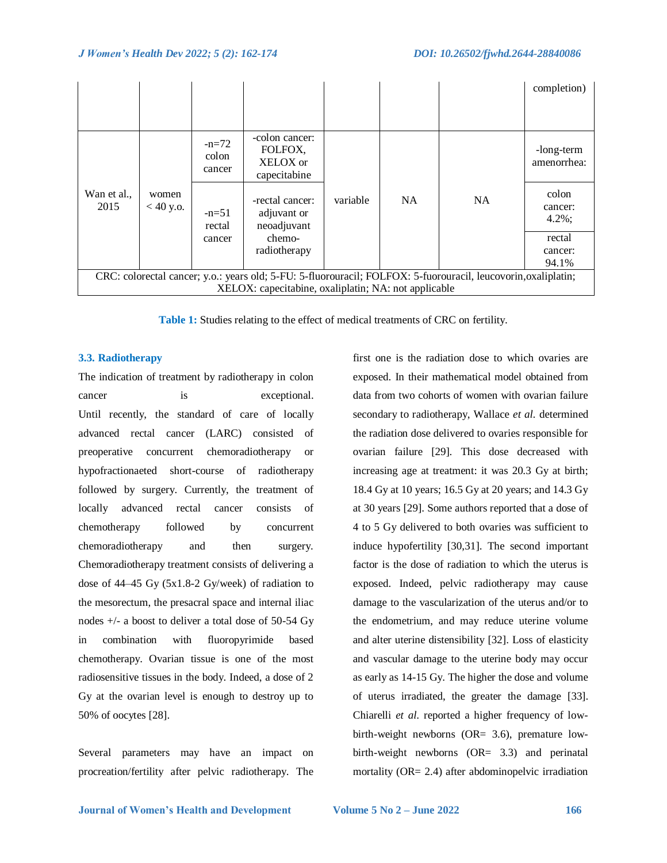|                                                                                                                |                      |                             |                                                                         |          |           |           | completion)                   |  |  |  |
|----------------------------------------------------------------------------------------------------------------|----------------------|-----------------------------|-------------------------------------------------------------------------|----------|-----------|-----------|-------------------------------|--|--|--|
|                                                                                                                | women<br>$< 40$ y.o. | $-n=72$<br>colon<br>cancer  | -colon cancer:<br>FOLFOX,<br>XELOX or<br>capecitabine                   | variable | <b>NA</b> | <b>NA</b> | -long-term<br>amenorrhea:     |  |  |  |
| Wan et al.,<br>2015                                                                                            |                      | $-n=51$<br>rectal<br>cancer | -rectal cancer:<br>adjuvant or<br>neoadjuvant<br>chemo-<br>radiotherapy |          |           |           | colon<br>cancer:<br>$4.2\%$ ; |  |  |  |
|                                                                                                                |                      |                             |                                                                         |          |           |           | rectal<br>cancer:             |  |  |  |
|                                                                                                                |                      |                             |                                                                         |          |           |           | 94.1%                         |  |  |  |
| CRC: colorectal cancer; y.o.: years old; 5-FU: 5-fluorouracil; FOLFOX: 5-fuorouracil, leucovorin, oxaliplatin; |                      |                             |                                                                         |          |           |           |                               |  |  |  |
| XELOX: capecitabine, oxaliplatin; NA: not applicable                                                           |                      |                             |                                                                         |          |           |           |                               |  |  |  |

**Table 1:** Studies relating to the effect of medical treatments of CRC on fertility.

### **3.3. Radiotherapy**

The indication of treatment by radiotherapy in colon cancer is exceptional. Until recently, the standard of care of locally advanced rectal cancer (LARC) consisted of preoperative concurrent chemoradiotherapy or hypofractionaeted short-course of radiotherapy followed by surgery. Currently, the treatment of locally advanced rectal cancer consists of chemotherapy followed by concurrent chemoradiotherapy and then surgery. Chemoradiotherapy treatment consists of delivering a dose of 44–45 Gy (5x1.8-2 Gy/week) of radiation to the mesorectum, the presacral space and internal iliac nodes +/- a boost to deliver a total dose of 50-54 Gy in combination with fluoropyrimide based chemotherapy. Ovarian tissue is one of the most radiosensitive tissues in the body. Indeed, a dose of 2 Gy at the ovarian level is enough to destroy up to 50% of oocytes [28].

Several parameters may have an impact on procreation/fertility after pelvic radiotherapy. The first one is the radiation dose to which ovaries are exposed. In their mathematical model obtained from data from two cohorts of women with ovarian failure secondary to radiotherapy, Wallace *et al.* determined the radiation dose delivered to ovaries responsible for ovarian failure [29]. This dose decreased with increasing age at treatment: it was 20.3 Gy at birth; 18.4 Gy at 10 years; 16.5 Gy at 20 years; and 14.3 Gy at 30 years [29]. Some authors reported that a dose of 4 to 5 Gy delivered to both ovaries was sufficient to induce hypofertility [30,31]. The second important factor is the dose of radiation to which the uterus is exposed. Indeed, pelvic radiotherapy may cause damage to the vascularization of the uterus and/or to the endometrium, and may reduce uterine volume and alter uterine distensibility [32]. Loss of elasticity and vascular damage to the uterine body may occur as early as 14-15 Gy. The higher the dose and volume of uterus irradiated, the greater the damage [33]. Chiarelli *et al.* reported a higher frequency of lowbirth-weight newborns (OR= 3.6), premature lowbirth-weight newborns (OR= 3.3) and perinatal mortality (OR= 2.4) after abdominopelvic irradiation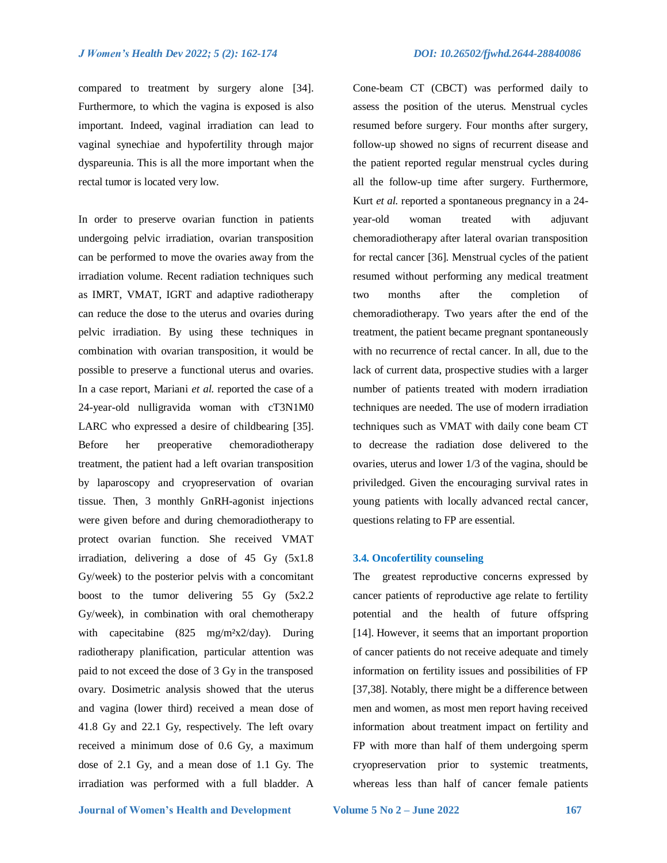compared to treatment by surgery alone [34]. Furthermore, to which the vagina is exposed is also important. Indeed, vaginal irradiation can lead to vaginal synechiae and hypofertility through major dyspareunia. This is all the more important when the rectal tumor is located very low.

In order to preserve ovarian function in patients undergoing pelvic irradiation, ovarian transposition can be performed to move the ovaries away from the irradiation volume. Recent radiation techniques such as IMRT, VMAT, IGRT and adaptive radiotherapy can reduce the dose to the uterus and ovaries during pelvic irradiation. By using these techniques in combination with ovarian transposition, it would be possible to preserve a functional uterus and ovaries. In a case report, Mariani *et al.* reported the case of a 24-year-old nulligravida woman with cT3N1M0 LARC who expressed a desire of childbearing [35]. Before her preoperative chemoradiotherapy treatment, the patient had a left ovarian transposition by laparoscopy and cryopreservation of ovarian tissue. Then, 3 monthly GnRH-agonist injections were given before and during chemoradiotherapy to protect ovarian function. She received VMAT irradiation, delivering a dose of 45 Gy (5x1.8 Gy/week) to the posterior pelvis with a concomitant boost to the tumor delivering 55 Gy (5x2.2 Gy/week), in combination with oral chemotherapy with capecitabine (825 mg/m<sup>2</sup>x2/day). During radiotherapy planification, particular attention was paid to not exceed the dose of 3 Gy in the transposed ovary. Dosimetric analysis showed that the uterus and vagina (lower third) received a mean dose of 41.8 Gy and 22.1 Gy, respectively. The left ovary received a minimum dose of 0.6 Gy, a maximum dose of 2.1 Gy, and a mean dose of 1.1 Gy. The irradiation was performed with a full bladder. A

Cone-beam CT (CBCT) was performed daily to assess the position of the uterus. Menstrual cycles resumed before surgery. Four months after surgery, follow-up showed no signs of recurrent disease and the patient reported regular menstrual cycles during all the follow-up time after surgery. Furthermore, Kurt *et al.* reported a spontaneous pregnancy in a 24 year-old woman treated with adjuvant chemoradiotherapy after lateral ovarian transposition for rectal cancer [36]. Menstrual cycles of the patient resumed without performing any medical treatment two months after the completion of chemoradiotherapy. Two years after the end of the treatment, the patient became pregnant spontaneously with no recurrence of rectal cancer. In all, due to the lack of current data, prospective studies with a larger number of patients treated with modern irradiation techniques are needed. The use of modern irradiation techniques such as VMAT with daily cone beam CT to decrease the radiation dose delivered to the ovaries, uterus and lower 1/3 of the vagina, should be priviledged. Given the encouraging survival rates in young patients with locally advanced rectal cancer, questions relating to FP are essential.

## **3.4. Oncofertility counseling**

The greatest reproductive concerns expressed by cancer patients of reproductive age relate to fertility potential and the health of future offspring [14]. However, it seems that an important proportion of cancer patients do not receive adequate and timely information on fertility issues and possibilities of FP [37,38]. Notably, there might be a difference between men and women, as most men report having received information about treatment impact on fertility and FP with more than half of them undergoing sperm cryopreservation prior to systemic treatments, whereas less than half of cancer female patients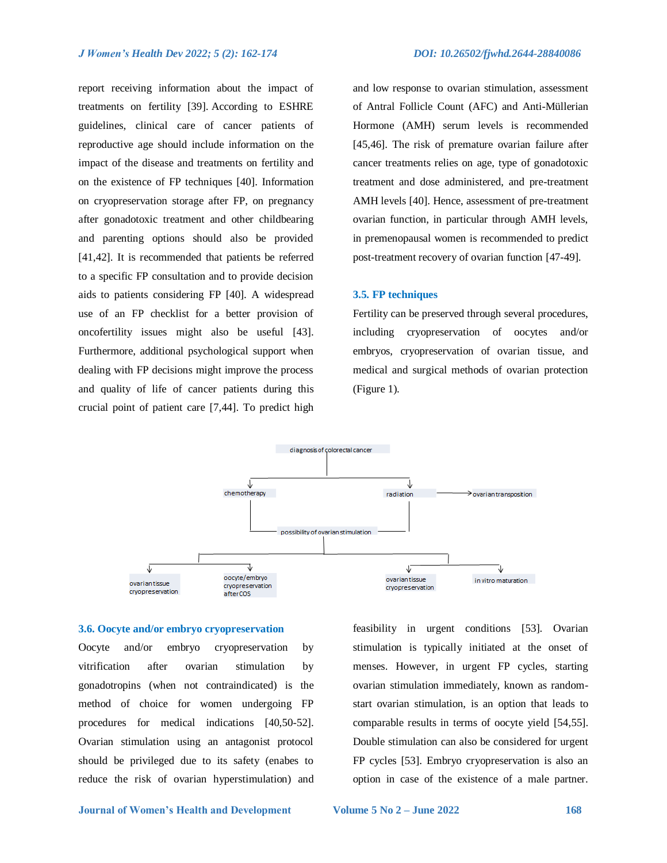report receiving information about the impact of treatments on fertility [39]. According to ESHRE guidelines, clinical care of cancer patients of reproductive age should include information on the impact of the disease and treatments on fertility and on the existence of FP techniques [40]. Information on cryopreservation storage after FP, on pregnancy after gonadotoxic treatment and other childbearing and parenting options should also be provided [41,42]. It is recommended that patients be referred to a specific FP consultation and to provide decision aids to patients considering FP [40]. A widespread use of an FP checklist for a better provision of oncofertility issues might also be useful [43]. Furthermore, additional psychological support when dealing with FP decisions might improve the process and quality of life of cancer patients during this crucial point of patient care [7,44]. To predict high and low response to ovarian stimulation, assessment of Antral Follicle Count (AFC) and Anti-Müllerian Hormone (AMH) serum levels is recommended [45,46]. The risk of premature ovarian failure after cancer treatments relies on age, type of gonadotoxic treatment and dose administered, and pre-treatment AMH levels [40]. Hence, assessment of pre-treatment ovarian function, in particular through AMH levels, in premenopausal women is recommended to predict post-treatment recovery of ovarian function [47-49].

#### **3.5. FP techniques**

Fertility can be preserved through several procedures, including cryopreservation of oocytes and/or embryos, cryopreservation of ovarian tissue, and medical and surgical methods of ovarian protection (Figure 1).



#### **3.6. Oocyte and/or embryo cryopreservation**

Oocyte and/or embryo cryopreservation by vitrification after ovarian stimulation by gonadotropins (when not contraindicated) is the method of choice for women undergoing FP procedures for medical indications [40,50-52]. Ovarian stimulation using an antagonist protocol should be privileged due to its safety (enabes to reduce the risk of ovarian hyperstimulation) and feasibility in urgent conditions [53]. Ovarian stimulation is typically initiated at the onset of menses. However, in urgent FP cycles, starting ovarian stimulation immediately, known as randomstart ovarian stimulation, is an option that leads to comparable results in terms of oocyte yield [54,55]. Double stimulation can also be considered for urgent FP cycles [53]. Embryo cryopreservation is also an option in case of the existence of a male partner.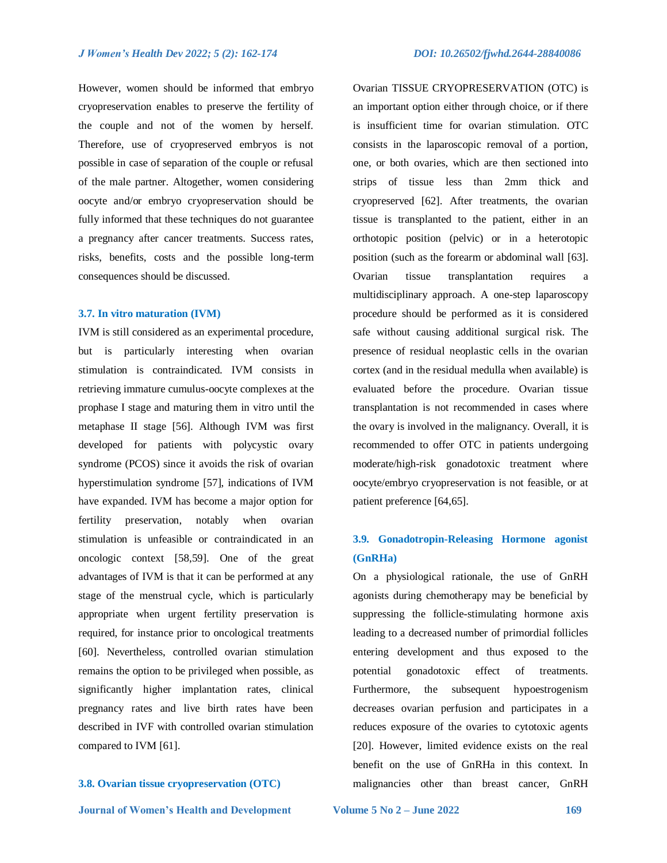Ovarian TISSUE CRYOPRESERVATION (OTC) is

However, women should be informed that embryo cryopreservation enables to preserve the fertility of the couple and not of the women by herself. Therefore, use of cryopreserved embryos is not possible in case of separation of the couple or refusal of the male partner. Altogether, women considering oocyte and/or embryo cryopreservation should be fully informed that these techniques do not guarantee a pregnancy after cancer treatments. Success rates, risks, benefits, costs and the possible long-term consequences should be discussed.

#### **3.7. In vitro maturation (IVM)**

IVM is still considered as an experimental procedure, but is particularly interesting when ovarian stimulation is contraindicated. IVM consists in retrieving immature cumulus-oocyte complexes at the prophase I stage and maturing them in vitro until the metaphase II stage [56]. Although IVM was first developed for patients with polycystic ovary syndrome (PCOS) since it avoids the risk of ovarian hyperstimulation syndrome [57], indications of IVM have expanded. IVM has become a major option for fertility preservation, notably when ovarian stimulation is unfeasible or contraindicated in an oncologic context [58,59]. One of the great advantages of IVM is that it can be performed at any stage of the menstrual cycle, which is particularly appropriate when urgent fertility preservation is required, for instance prior to oncological treatments [60]. Nevertheless, controlled ovarian stimulation remains the option to be privileged when possible, as significantly higher implantation rates, clinical pregnancy rates and live birth rates have been described in IVF with controlled ovarian stimulation compared to IVM [61].

## **3.8. Ovarian tissue cryopreservation (OTC)**

an important option either through choice, or if there is insufficient time for ovarian stimulation. OTC consists in the laparoscopic removal of a portion, one, or both ovaries, which are then sectioned into strips of tissue less than 2mm thick and cryopreserved [62]. After treatments, the ovarian tissue is transplanted to the patient, either in an orthotopic position (pelvic) or in a heterotopic position (such as the forearm or abdominal wall [63]. Ovarian tissue transplantation requires a multidisciplinary approach. A one-step laparoscopy procedure should be performed as it is considered safe without causing additional surgical risk. The presence of residual neoplastic cells in the ovarian cortex (and in the residual medulla when available) is evaluated before the procedure. Ovarian tissue transplantation is not recommended in cases where the ovary is involved in the malignancy. Overall, it is recommended to offer OTC in patients undergoing moderate/high-risk gonadotoxic treatment where oocyte/embryo cryopreservation is not feasible, or at patient preference [64,65].

## **3.9. Gonadotropin-Releasing Hormone agonist (GnRHa)**

On a physiological rationale, the use of GnRH agonists during chemotherapy may be beneficial by suppressing the follicle-stimulating hormone axis leading to a decreased number of primordial follicles entering development and thus exposed to the potential gonadotoxic effect of treatments. Furthermore, the subsequent hypoestrogenism decreases ovarian perfusion and participates in a reduces exposure of the ovaries to cytotoxic agents [20]. However, limited evidence exists on the real benefit on the use of GnRHa in this context. In malignancies other than breast cancer, GnRH

 **Journal of Women's Health and Development Volume 5 No 2 – June 2022 169**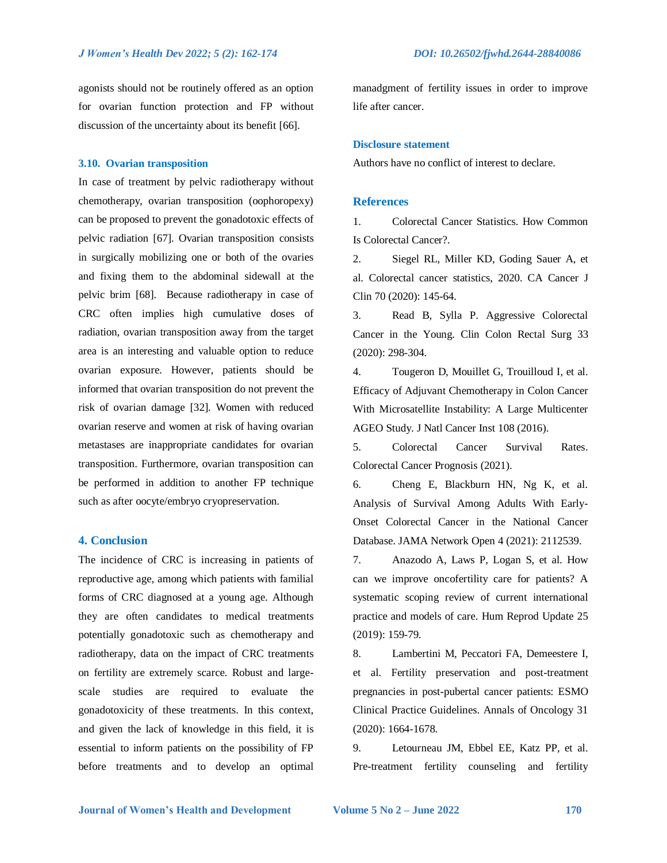agonists should not be routinely offered as an option for ovarian function protection and FP without discussion of the uncertainty about its benefit [66].

#### **3.10. Ovarian transposition**

In case of treatment by pelvic radiotherapy without chemotherapy, ovarian transposition (oophoropexy) can be proposed to prevent the gonadotoxic effects of pelvic radiation [67]. Ovarian transposition consists in surgically mobilizing one or both of the ovaries and fixing them to the abdominal sidewall at the pelvic brim [68]. Because radiotherapy in case of CRC often implies high cumulative doses of radiation, ovarian transposition away from the target area is an interesting and valuable option to reduce ovarian exposure. However, patients should be informed that ovarian transposition do not prevent the risk of ovarian damage [32]. Women with reduced ovarian reserve and women at risk of having ovarian metastases are inappropriate candidates for ovarian transposition. Furthermore, ovarian transposition can be performed in addition to another FP technique such as after oocyte/embryo cryopreservation.

#### **4. Conclusion**

The incidence of CRC is increasing in patients of reproductive age, among which patients with familial forms of CRC diagnosed at a young age. Although they are often candidates to medical treatments potentially gonadotoxic such as chemotherapy and radiotherapy, data on the impact of CRC treatments on fertility are extremely scarce. Robust and largescale studies are required to evaluate the gonadotoxicity of these treatments. In this context, and given the lack of knowledge in this field, it is essential to inform patients on the possibility of FP before treatments and to develop an optimal manadgment of fertility issues in order to improve life after cancer.

#### **Disclosure statement**

Authors have no conflict of interest to declare.

#### **References**

1. Colorectal Cancer Statistics. How Common Is Colorectal Cancer?.

2. Siegel RL, Miller KD, Goding Sauer A, et al. Colorectal cancer statistics, 2020. CA Cancer J Clin 70 (2020): 145-64.

3. Read B, Sylla P. Aggressive Colorectal Cancer in the Young. Clin Colon Rectal Surg 33 (2020): 298-304.

4. Tougeron D, Mouillet G, Trouilloud I, et al. Efficacy of Adjuvant Chemotherapy in Colon Cancer With Microsatellite Instability: A Large Multicenter AGEO Study. J Natl Cancer Inst 108 (2016).

5. Colorectal Cancer Survival Rates. Colorectal Cancer Prognosis (2021).

6. Cheng E, Blackburn HN, Ng K, et al. Analysis of Survival Among Adults With Early-Onset Colorectal Cancer in the National Cancer Database. JAMA Network Open 4 (2021): 2112539.

7. Anazodo A, Laws P, Logan S, et al. How can we improve oncofertility care for patients? A systematic scoping review of current international practice and models of care. Hum Reprod Update 25 (2019): 159-79.

8. Lambertini M, Peccatori FA, Demeestere I, et al. Fertility preservation and post-treatment pregnancies in post-pubertal cancer patients: ESMO Clinical Practice Guidelines. Annals of Oncology 31 (2020): 1664-1678.

9. Letourneau JM, Ebbel EE, Katz PP, et al. Pre-treatment fertility counseling and fertility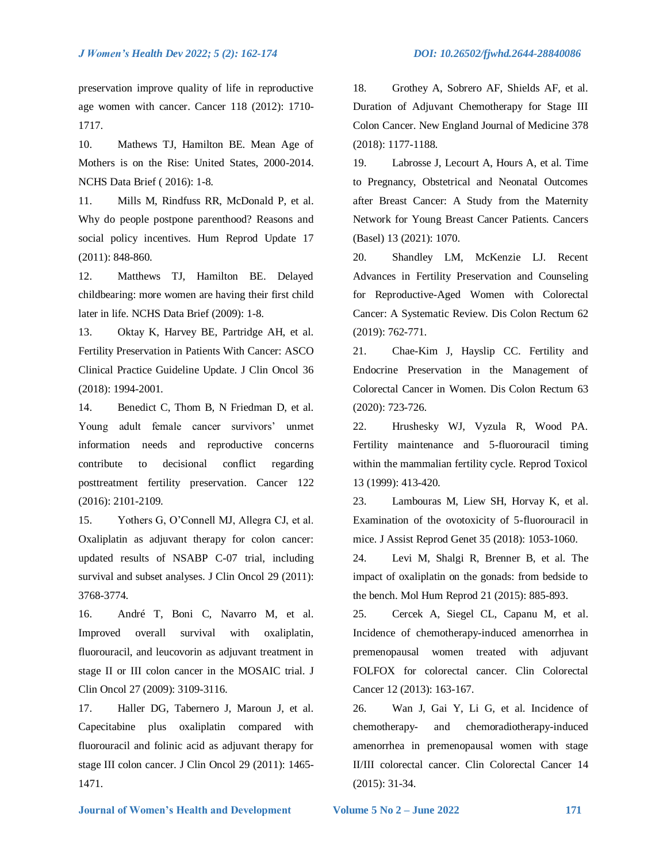preservation improve quality of life in reproductive age women with cancer. Cancer 118 (2012): 1710- 1717.

10. Mathews TJ, Hamilton BE. Mean Age of Mothers is on the Rise: United States, 2000-2014. NCHS Data Brief ( 2016): 1-8.

11. Mills M, Rindfuss RR, McDonald P, et al. Why do people postpone parenthood? Reasons and social policy incentives. Hum Reprod Update 17 (2011): 848-860.

12. Matthews TJ, Hamilton BE. Delayed childbearing: more women are having their first child later in life. NCHS Data Brief (2009): 1-8.

13. Oktay K, Harvey BE, Partridge AH, et al. Fertility Preservation in Patients With Cancer: ASCO Clinical Practice Guideline Update. J Clin Oncol 36 (2018): 1994-2001.

14. Benedict C, Thom B, N Friedman D, et al. Young adult female cancer survivors' unmet information needs and reproductive concerns contribute to decisional conflict regarding posttreatment fertility preservation. Cancer 122 (2016): 2101-2109.

15. Yothers G, O'Connell MJ, Allegra CJ, et al. Oxaliplatin as adjuvant therapy for colon cancer: updated results of NSABP C-07 trial, including survival and subset analyses. J Clin Oncol 29 (2011): 3768-3774.

16. André T, Boni C, Navarro M, et al. Improved overall survival with oxaliplatin, fluorouracil, and leucovorin as adjuvant treatment in stage II or III colon cancer in the MOSAIC trial. J Clin Oncol 27 (2009): 3109-3116.

17. Haller DG, Tabernero J, Maroun J, et al. Capecitabine plus oxaliplatin compared with fluorouracil and folinic acid as adjuvant therapy for stage III colon cancer. J Clin Oncol 29 (2011): 1465- 1471.

18. Grothey A, Sobrero AF, Shields AF, et al. Duration of Adjuvant Chemotherapy for Stage III Colon Cancer. New England Journal of Medicine 378 (2018): 1177-1188.

19. Labrosse J, Lecourt A, Hours A, et al. Time to Pregnancy, Obstetrical and Neonatal Outcomes after Breast Cancer: A Study from the Maternity Network for Young Breast Cancer Patients. Cancers (Basel) 13 (2021): 1070.

20. Shandley LM, McKenzie LJ. Recent Advances in Fertility Preservation and Counseling for Reproductive-Aged Women with Colorectal Cancer: A Systematic Review. Dis Colon Rectum 62 (2019): 762-771.

21. Chae-Kim J, Hayslip CC. Fertility and Endocrine Preservation in the Management of Colorectal Cancer in Women. Dis Colon Rectum 63 (2020): 723-726.

22. Hrushesky WJ, Vyzula R, Wood PA. Fertility maintenance and 5-fluorouracil timing within the mammalian fertility cycle. Reprod Toxicol 13 (1999): 413-420.

23. Lambouras M, Liew SH, Horvay K, et al. Examination of the ovotoxicity of 5-fluorouracil in mice. J Assist Reprod Genet 35 (2018): 1053-1060.

24. Levi M, Shalgi R, Brenner B, et al. The impact of oxaliplatin on the gonads: from bedside to the bench. Mol Hum Reprod 21 (2015): 885-893.

25. Cercek A, Siegel CL, Capanu M, et al. Incidence of chemotherapy-induced amenorrhea in premenopausal women treated with adjuvant FOLFOX for colorectal cancer. Clin Colorectal Cancer 12 (2013): 163-167.

26. Wan J, Gai Y, Li G, et al. Incidence of chemotherapy- and chemoradiotherapy-induced amenorrhea in premenopausal women with stage II/III colorectal cancer. Clin Colorectal Cancer 14 (2015): 31-34.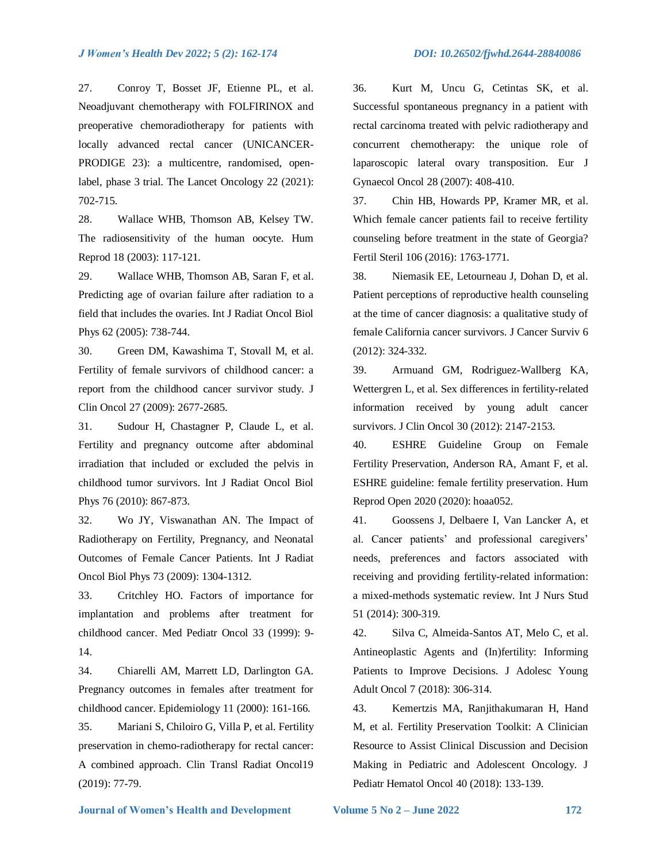#### *J Women's Health Dev 2022; 5 (2): 162-174 DOI: 10.26502/fjwhd.2644-28840086*

27. Conroy T, Bosset JF, Etienne PL, et al. Neoadjuvant chemotherapy with FOLFIRINOX and preoperative chemoradiotherapy for patients with locally advanced rectal cancer (UNICANCER-

PRODIGE 23): a multicentre, randomised, openlabel, phase 3 trial. The Lancet Oncology 22 (2021): 702-715.

28. Wallace WHB, Thomson AB, Kelsey TW. The radiosensitivity of the human oocyte. Hum Reprod 18 (2003): 117-121.

29. Wallace WHB, Thomson AB, Saran F, et al. Predicting age of ovarian failure after radiation to a field that includes the ovaries. Int J Radiat Oncol Biol Phys 62 (2005): 738-744.

30. Green DM, Kawashima T, Stovall M, et al. Fertility of female survivors of childhood cancer: a report from the childhood cancer survivor study. J Clin Oncol 27 (2009): 2677-2685.

31. Sudour H, Chastagner P, Claude L, et al. Fertility and pregnancy outcome after abdominal irradiation that included or excluded the pelvis in childhood tumor survivors. Int J Radiat Oncol Biol Phys 76 (2010): 867-873.

32. Wo JY, Viswanathan AN. The Impact of Radiotherapy on Fertility, Pregnancy, and Neonatal Outcomes of Female Cancer Patients. Int J Radiat Oncol Biol Phys 73 (2009): 1304-1312.

33. Critchley HO. Factors of importance for implantation and problems after treatment for childhood cancer. Med Pediatr Oncol 33 (1999): 9- 14.

34. Chiarelli AM, Marrett LD, Darlington GA. Pregnancy outcomes in females after treatment for childhood cancer. Epidemiology 11 (2000): 161-166.

35. Mariani S, Chiloiro G, Villa P, et al. Fertility preservation in chemo-radiotherapy for rectal cancer: A combined approach. Clin Transl Radiat Oncol19 (2019): 77-79.

36. Kurt M, Uncu G, Cetintas SK, et al. Successful spontaneous pregnancy in a patient with rectal carcinoma treated with pelvic radiotherapy and concurrent chemotherapy: the unique role of laparoscopic lateral ovary transposition. Eur J Gynaecol Oncol 28 (2007): 408-410.

37. Chin HB, Howards PP, Kramer MR, et al. Which female cancer patients fail to receive fertility counseling before treatment in the state of Georgia? Fertil Steril 106 (2016): 1763-1771.

38. Niemasik EE, Letourneau J, Dohan D, et al. Patient perceptions of reproductive health counseling at the time of cancer diagnosis: a qualitative study of female California cancer survivors. J Cancer Surviv 6 (2012): 324-332.

39. Armuand GM, Rodriguez-Wallberg KA, Wettergren L, et al. Sex differences in fertility-related information received by young adult cancer survivors. J Clin Oncol 30 (2012): 2147-2153.

40. ESHRE Guideline Group on Female Fertility Preservation, Anderson RA, Amant F, et al. ESHRE guideline: female fertility preservation. Hum Reprod Open 2020 (2020): hoaa052.

41. Goossens J, Delbaere I, Van Lancker A, et al. Cancer patients' and professional caregivers' needs, preferences and factors associated with receiving and providing fertility-related information: a mixed-methods systematic review. Int J Nurs Stud 51 (2014): 300-319.

42. Silva C, Almeida-Santos AT, Melo C, et al. Antineoplastic Agents and (In)fertility: Informing Patients to Improve Decisions. J Adolesc Young Adult Oncol 7 (2018): 306-314.

43. Kemertzis MA, Ranjithakumaran H, Hand M, et al. Fertility Preservation Toolkit: A Clinician Resource to Assist Clinical Discussion and Decision Making in Pediatric and Adolescent Oncology. J Pediatr Hematol Oncol 40 (2018): 133-139.

 **Journal of Women's Health and Development Volume 5 No 2 – June 2022 172**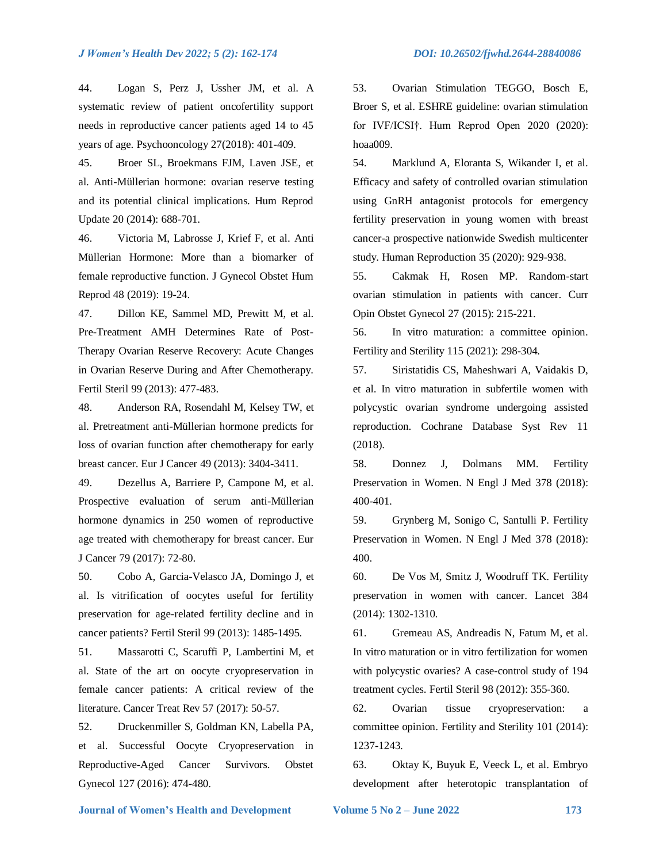44. Logan S, Perz J, Ussher JM, et al. A systematic review of patient oncofertility support needs in reproductive cancer patients aged 14 to 45 years of age. Psychooncology 27(2018): 401-409.

45. Broer SL, Broekmans FJM, Laven JSE, et al. Anti-Müllerian hormone: ovarian reserve testing and its potential clinical implications. Hum Reprod Update 20 (2014): 688-701.

46. Victoria M, Labrosse J, Krief F, et al. Anti Müllerian Hormone: More than a biomarker of female reproductive function. J Gynecol Obstet Hum Reprod 48 (2019): 19-24.

47. Dillon KE, Sammel MD, Prewitt M, et al. Pre-Treatment AMH Determines Rate of Post-Therapy Ovarian Reserve Recovery: Acute Changes in Ovarian Reserve During and After Chemotherapy. Fertil Steril 99 (2013): 477-483.

48. Anderson RA, Rosendahl M, Kelsey TW, et al. Pretreatment anti-Müllerian hormone predicts for loss of ovarian function after chemotherapy for early breast cancer. Eur J Cancer 49 (2013): 3404-3411.

49. Dezellus A, Barriere P, Campone M, et al. Prospective evaluation of serum anti-Müllerian hormone dynamics in 250 women of reproductive age treated with chemotherapy for breast cancer. Eur J Cancer 79 (2017): 72-80.

50. Cobo A, Garcia-Velasco JA, Domingo J, et al. Is vitrification of oocytes useful for fertility preservation for age-related fertility decline and in cancer patients? Fertil Steril 99 (2013): 1485-1495.

51. Massarotti C, Scaruffi P, Lambertini M, et al. State of the art on oocyte cryopreservation in female cancer patients: A critical review of the literature. Cancer Treat Rev 57 (2017): 50-57.

52. Druckenmiller S, Goldman KN, Labella PA, et al. Successful Oocyte Cryopreservation in Reproductive-Aged Cancer Survivors. Obstet Gynecol 127 (2016): 474-480.

53. Ovarian Stimulation TEGGO, Bosch E, Broer S, et al. ESHRE guideline: ovarian stimulation for IVF/ICSI†. Hum Reprod Open 2020 (2020): hoaa009.

54. Marklund A, Eloranta S, Wikander I, et al. Efficacy and safety of controlled ovarian stimulation using GnRH antagonist protocols for emergency fertility preservation in young women with breast cancer-a prospective nationwide Swedish multicenter study. Human Reproduction 35 (2020): 929-938.

55. Cakmak H, Rosen MP. Random-start ovarian stimulation in patients with cancer. Curr Opin Obstet Gynecol 27 (2015): 215-221.

56. In vitro maturation: a committee opinion. Fertility and Sterility 115 (2021): 298-304.

57. Siristatidis CS, Maheshwari A, Vaidakis D, et al. In vitro maturation in subfertile women with polycystic ovarian syndrome undergoing assisted reproduction. Cochrane Database Syst Rev 11 (2018).

58. Donnez J, Dolmans MM. Fertility Preservation in Women. N Engl J Med 378 (2018): 400-401.

59. Grynberg M, Sonigo C, Santulli P. Fertility Preservation in Women. N Engl J Med 378 (2018): 400.

60. De Vos M, Smitz J, Woodruff TK. Fertility preservation in women with cancer. Lancet 384 (2014): 1302-1310.

61. Gremeau AS, Andreadis N, Fatum M, et al. In vitro maturation or in vitro fertilization for women with polycystic ovaries? A case-control study of 194 treatment cycles. Fertil Steril 98 (2012): 355-360.

62. Ovarian tissue cryopreservation: a committee opinion. Fertility and Sterility 101 (2014): 1237-1243.

63. Oktay K, Buyuk E, Veeck L, et al. Embryo development after heterotopic transplantation of

 **Journal of Women's Health and Development Volume 5 No 2 – June 2022 173**